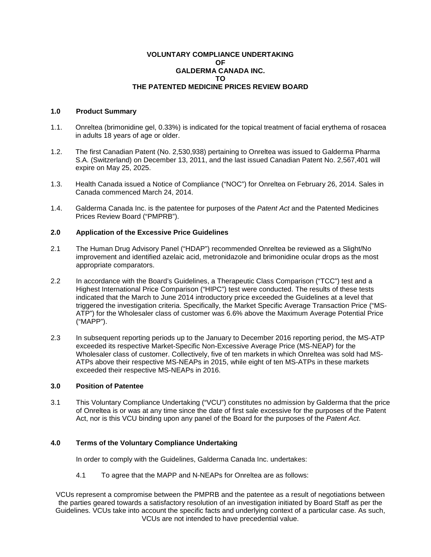### **VOLUNTARY COMPLIANCE UNDERTAKING OF GALDERMA CANADA INC. TO THE PATENTED MEDICINE PRICES REVIEW BOARD**

### **1.0 Product Summary**

- 1.1. Onreltea (brimonidine gel, 0.33%) is indicated for the topical treatment of facial erythema of rosacea in adults 18 years of age or older.
- 1.2. The first Canadian Patent (No. 2,530,938) pertaining to Onreltea was issued to Galderma Pharma S.A. (Switzerland) on December 13, 2011, and the last issued Canadian Patent No. 2,567,401 will expire on May 25, 2025.
- 1.3. Health Canada issued a Notice of Compliance ("NOC") for Onreltea on February 26, 2014. Sales in Canada commenced March 24, 2014.
- 1.4. Galderma Canada Inc. is the patentee for purposes of the *Patent Act* and the Patented Medicines Prices Review Board ("PMPRB").

## **2.0 Application of the Excessive Price Guidelines**

- 2.1 The Human Drug Advisory Panel ("HDAP") recommended Onreltea be reviewed as a Slight/No improvement and identified azelaic acid, metronidazole and brimonidine ocular drops as the most appropriate comparators.
- 2.2 In accordance with the Board's Guidelines, a Therapeutic Class Comparison ("TCC") test and a Highest International Price Comparison ("HIPC") test were conducted. The results of these tests indicated that the March to June 2014 introductory price exceeded the Guidelines at a level that triggered the investigation criteria. Specifically, the Market Specific Average Transaction Price ("MS-ATP") for the Wholesaler class of customer was 6.6% above the Maximum Average Potential Price ("MAPP").
- 2.3 In subsequent reporting periods up to the January to December 2016 reporting period, the MS-ATP exceeded its respective Market-Specific Non-Excessive Average Price (MS-NEAP) for the Wholesaler class of customer. Collectively, five of ten markets in which Onreltea was sold had MS-ATPs above their respective MS-NEAPs in 2015, while eight of ten MS-ATPs in these markets exceeded their respective MS-NEAPs in 2016.

### **3.0 Position of Patentee**

3.1 This Voluntary Compliance Undertaking ("VCU") constitutes no admission by Galderma that the price of Onreltea is or was at any time since the date of first sale excessive for the purposes of the Patent Act, nor is this VCU binding upon any panel of the Board for the purposes of the *Patent Act*.

# **4.0 Terms of the Voluntary Compliance Undertaking**

In order to comply with the Guidelines, Galderma Canada Inc. undertakes:

4.1 To agree that the MAPP and N-NEAPs for Onreltea are as follows:

VCUs represent a compromise between the PMPRB and the patentee as a result of negotiations between the parties geared towards a satisfactory resolution of an investigation initiated by Board Staff as per the Guidelines. VCUs take into account the specific facts and underlying context of a particular case. As such, VCUs are not intended to have precedential value.